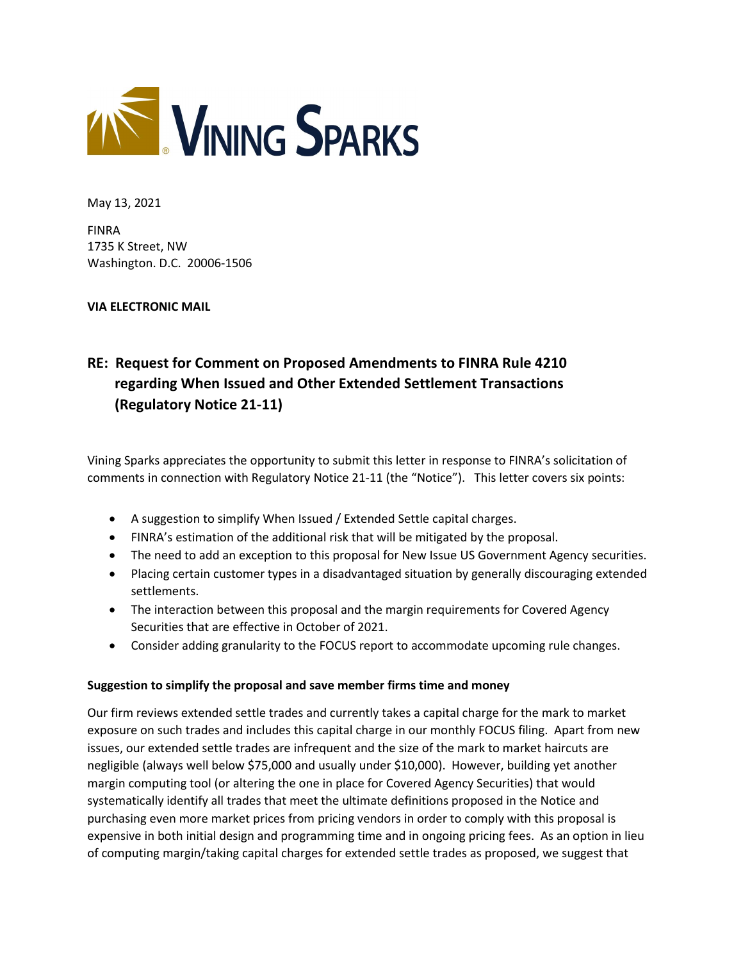

May 13, 2021

FINRA 1735 K Street, NW Washington. D.C. 20006-1506

**VIA ELECTRONIC MAIL**

# **RE: Request for Comment on Proposed Amendments to FINRA Rule 4210 regarding When Issued and Other Extended Settlement Transactions (Regulatory Notice 21-11)**

Vining Sparks appreciates the opportunity to submit this letter in response to FINRA's solicitation of comments in connection with Regulatory Notice 21-11 (the "Notice"). This letter covers six points:

- A suggestion to simplify When Issued / Extended Settle capital charges.
- FINRA's estimation of the additional risk that will be mitigated by the proposal.
- The need to add an exception to this proposal for New Issue US Government Agency securities.
- Placing certain customer types in a disadvantaged situation by generally discouraging extended settlements.
- The interaction between this proposal and the margin requirements for Covered Agency Securities that are effective in October of 2021.
- Consider adding granularity to the FOCUS report to accommodate upcoming rule changes.

### **Suggestion to simplify the proposal and save member firms time and money**

Our firm reviews extended settle trades and currently takes a capital charge for the mark to market exposure on such trades and includes this capital charge in our monthly FOCUS filing. Apart from new issues, our extended settle trades are infrequent and the size of the mark to market haircuts are negligible (always well below \$75,000 and usually under \$10,000). However, building yet another margin computing tool (or altering the one in place for Covered Agency Securities) that would systematically identify all trades that meet the ultimate definitions proposed in the Notice and purchasing even more market prices from pricing vendors in order to comply with this proposal is expensive in both initial design and programming time and in ongoing pricing fees. As an option in lieu of computing margin/taking capital charges for extended settle trades as proposed, we suggest that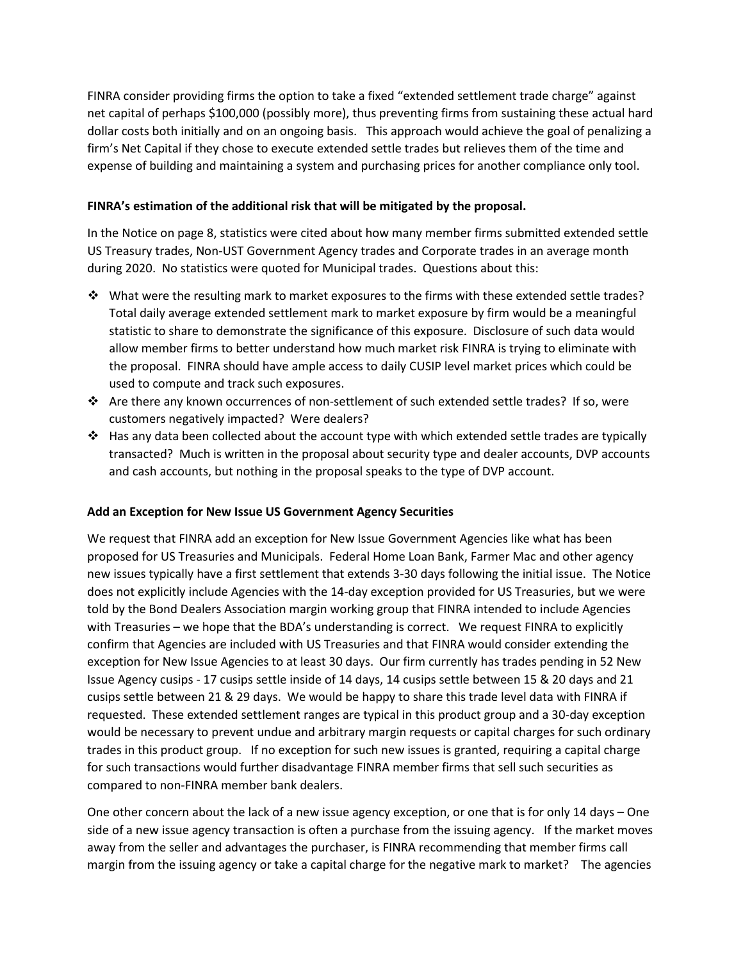FINRA consider providing firms the option to take a fixed "extended settlement trade charge" against net capital of perhaps \$100,000 (possibly more), thus preventing firms from sustaining these actual hard dollar costs both initially and on an ongoing basis. This approach would achieve the goal of penalizing a firm's Net Capital if they chose to execute extended settle trades but relieves them of the time and expense of building and maintaining a system and purchasing prices for another compliance only tool.

#### **FINRA's estimation of the additional risk that will be mitigated by the proposal.**

In the Notice on page 8, statistics were cited about how many member firms submitted extended settle US Treasury trades, Non-UST Government Agency trades and Corporate trades in an average month during 2020. No statistics were quoted for Municipal trades. Questions about this:

- ◆ What were the resulting mark to market exposures to the firms with these extended settle trades? Total daily average extended settlement mark to market exposure by firm would be a meaningful statistic to share to demonstrate the significance of this exposure. Disclosure of such data would allow member firms to better understand how much market risk FINRA is trying to eliminate with the proposal. FINRA should have ample access to daily CUSIP level market prices which could be used to compute and track such exposures.
- Are there any known occurrences of non-settlement of such extended settle trades? If so, were customers negatively impacted? Were dealers?
- $\cdot \cdot$  Has any data been collected about the account type with which extended settle trades are typically transacted? Much is written in the proposal about security type and dealer accounts, DVP accounts and cash accounts, but nothing in the proposal speaks to the type of DVP account.

#### **Add an Exception for New Issue US Government Agency Securities**

We request that FINRA add an exception for New Issue Government Agencies like what has been proposed for US Treasuries and Municipals. Federal Home Loan Bank, Farmer Mac and other agency new issues typically have a first settlement that extends 3-30 days following the initial issue. The Notice does not explicitly include Agencies with the 14-day exception provided for US Treasuries, but we were told by the Bond Dealers Association margin working group that FINRA intended to include Agencies with Treasuries – we hope that the BDA's understanding is correct. We request FINRA to explicitly confirm that Agencies are included with US Treasuries and that FINRA would consider extending the exception for New Issue Agencies to at least 30 days. Our firm currently has trades pending in 52 New Issue Agency cusips - 17 cusips settle inside of 14 days, 14 cusips settle between 15 & 20 days and 21 cusips settle between 21 & 29 days. We would be happy to share this trade level data with FINRA if requested. These extended settlement ranges are typical in this product group and a 30-day exception would be necessary to prevent undue and arbitrary margin requests or capital charges for such ordinary trades in this product group. If no exception for such new issues is granted, requiring a capital charge for such transactions would further disadvantage FINRA member firms that sell such securities as compared to non-FINRA member bank dealers.

One other concern about the lack of a new issue agency exception, or one that is for only 14 days – One side of a new issue agency transaction is often a purchase from the issuing agency. If the market moves away from the seller and advantages the purchaser, is FINRA recommending that member firms call margin from the issuing agency or take a capital charge for the negative mark to market? The agencies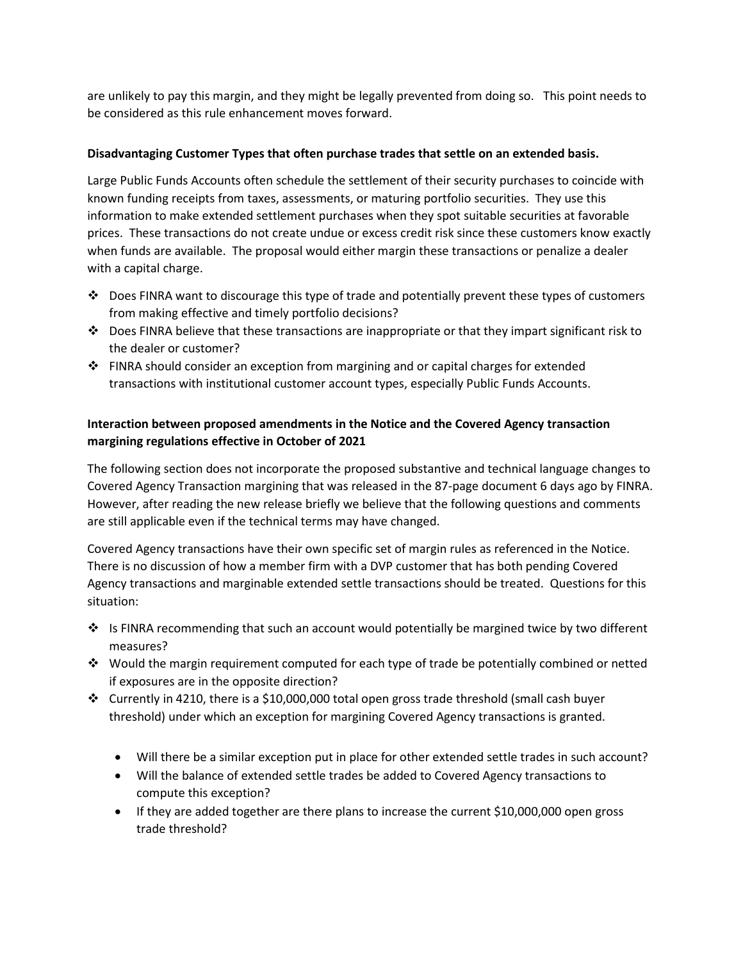are unlikely to pay this margin, and they might be legally prevented from doing so. This point needs to be considered as this rule enhancement moves forward.

#### **Disadvantaging Customer Types that often purchase trades that settle on an extended basis.**

Large Public Funds Accounts often schedule the settlement of their security purchases to coincide with known funding receipts from taxes, assessments, or maturing portfolio securities. They use this information to make extended settlement purchases when they spot suitable securities at favorable prices. These transactions do not create undue or excess credit risk since these customers know exactly when funds are available. The proposal would either margin these transactions or penalize a dealer with a capital charge.

- Does FINRA want to discourage this type of trade and potentially prevent these types of customers from making effective and timely portfolio decisions?
- \* Does FINRA believe that these transactions are inappropriate or that they impart significant risk to the dealer or customer?
- $\div$  FINRA should consider an exception from margining and or capital charges for extended transactions with institutional customer account types, especially Public Funds Accounts.

## **Interaction between proposed amendments in the Notice and the Covered Agency transaction margining regulations effective in October of 2021**

The following section does not incorporate the proposed substantive and technical language changes to Covered Agency Transaction margining that was released in the 87-page document 6 days ago by FINRA. However, after reading the new release briefly we believe that the following questions and comments are still applicable even if the technical terms may have changed.

Covered Agency transactions have their own specific set of margin rules as referenced in the Notice. There is no discussion of how a member firm with a DVP customer that has both pending Covered Agency transactions and marginable extended settle transactions should be treated. Questions for this situation:

- ❖ Is FINRA recommending that such an account would potentially be margined twice by two different measures?
- $\cdot \cdot$  Would the margin requirement computed for each type of trade be potentially combined or netted if exposures are in the opposite direction?
- Currently in 4210, there is a \$10,000,000 total open gross trade threshold (small cash buyer threshold) under which an exception for margining Covered Agency transactions is granted.
	- Will there be a similar exception put in place for other extended settle trades in such account?
	- Will the balance of extended settle trades be added to Covered Agency transactions to compute this exception?
	- If they are added together are there plans to increase the current \$10,000,000 open gross trade threshold?